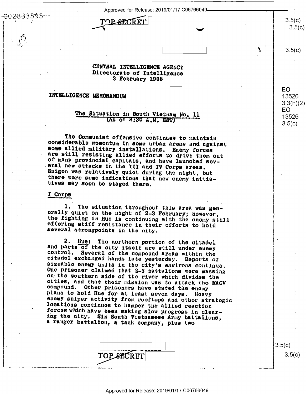6028335

Approved for Release: 2019/01/17 C06766049

**DE SRORKI** 

#### CENTRAL INTELLIGENCE AGENCY Directorate of Intelligence 3 February 1968

## INTELLIGENCE MEMORANDUM

## The Situation in South Vietnam No. 11 (As of 8:30 A.M. EST)

The Communist offensive continues to maintain considerable momontum in some urban areas and against some allied military installations. Enemy forces are still resisting allied efforts to drive them out of many provincial capitals, and have launched several new attacks in the III and IV Corps areas. Saigon was relatively quict during the night, but there were some indications that new enemy initiatives may soon be staged there.

## I Corps

1. The situation throughout this area was generally quiet on the night of 2-3 February; however, the fighting in Huo is continuing with the enemy still offering stiff resistance in their offorts to hold several strongpoints in the city.

2. Hue: The northern portion of the citadel and parts of the city itself are still under enemy control. Several of the compound areas within the citadel exchanged hands late yesterday. Reports of sizeablo enemy units in the city's environs continue. One prisoner claimed that 2-3 battalions were massing on the southern side of the river which divides the cities, and that their mission was to attack the MACV compound. Other prisoners have stated the enemy plans to hold Hue for at least seven days. Heavy enemy sniper activity from rooftops and other stratogic locations continues to hamper the allied reaction forces which have been making slow progress in clearing the city. Six South Vietnamese Army battalions, a ranger battalion, a tank company, plus two

|                      | n vi |
|----------------------|------|
| P SECK!<br>17 Y<br>r |      |
|                      |      |

 $3.5(c)$  $3.5(c)$ 

 $3.5(c)$ 

 $3.5(c)$ 

**EO** 

13526  $3.3(h)(2)$ E<sub>O</sub>

13526

 $3.5(c)$ 

 $3.5(c)$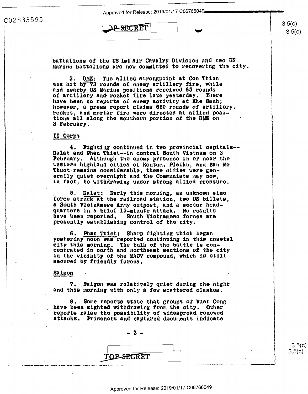$3.5(c)$  $3.5(c)$ 

 $3.5(c)$ 

 $3.5(c)$ 

 $3.5(c)$ <br> $3.5(c)$ 

up".

C02833595 C02833e95-

 $\vert$ I

: $\overline{\text{max over}}$  3.5(c)

battalions of the US lst Air Cavalry Division and two US Marine battalions are now committed to recovering the city.

3. DMZ: The allied strongpoint at Con Thien was hit by 73 rounds of enemy artillery fire, while and nearby US Marine positions received 65 rounds of artillery and· rocket !ire late yesterday. There of artillery and rocket iire late yesterday. There have been no reports of enemy activity at Khe Sanh; however, a press report claims 850 rounds of artillery. however, <sup>a</sup> press report claims 650 rounds of artillery, ·rocket, and mortar fire were directed at allied **posi-**-rocket, and mortar fire were directed at allied posi tions all along the southern portion of the DMZ on 3 February.

## II Corps 11 Corps

4. Fightitig continued in two provincial capitals-- 4. Fighting continued in two provincial capitals-- Dalat and Phan Thiet--in central South Viotnam on 3 February. Although the enemy presence in or near the western highland cities of Koutum, Pleiltu, and Ban Me western highland cities of Kontum, Pleihu, and Ban Me Thuot- **remains** considerable, tbese cities we1·e gen-Thuot remains considerable, these cities were gen-<br>erally quiet overnight and the Communists may now, in- fact, be withd1•awing undor strong allied pressure. in fact, be withdrawing under strong allied pressure. erally quiet overnight and the Communists may now,

5. Dalat: Early this morning, an unknown size force struck at the railroad station, two US billets, a South Vietnamese Army outpost, and a sector headquarters in a brief 15-minute attack. No results havo been reported. South Viotnameso forces ara have been reported. South Vietnamese forces are mate been repersent modest treemmess maters.

6. Phan Thiet: Sharp fighting which began \_6. Phan Thiet: Sharp righting which began yesterday noon was reported continuing in this coastal city this morning. The bulk of the battle is concont:1·a ted in north and northeast sect:ions of the city centrated in north and northeast sections of the city :tn the vicinity of the MACV compound, which is still in the vicinity of the MACV compound, which is still secured by friendly forces.

## Saigon Saigon

7. Saigon was relatively quiet during the night and this morning with only a few scattered clashes. 7. Saigon was relatively quiet during the night

8 •. Some reports state that groups of Viet Cong 8.. Some reports state that groups of Viet Cong have been sighted withdrawing from the city. Other l'"eports raise the possibility of widospread re11ewed reports raise the possibility of widespread renewed attacks. Prisoners and captured documents indicate

- **2** -

TOP SECRET

..—- .I—I- on." III-I- to a.-- oqluun <sup>I</sup> <sup>I</sup> <sup>I</sup> —--|-. <sup>o</sup> <sup>I</sup> <sup>o</sup> <sup>c</sup> <sup>a</sup> no <sup>0</sup> <sup>o</sup> <sup>o</sup> <sup>p</sup> <sup>o</sup> - I.I--\*-I-"-l\*| <sup>I</sup> <sup>p</sup> <sup>o</sup> a.on . <sup>o</sup> <sup>I</sup> "0"". to.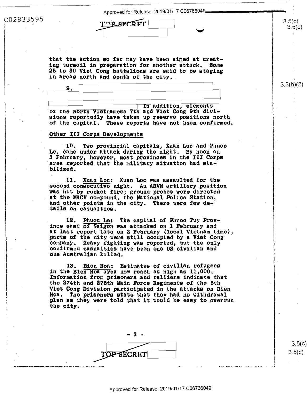- 1999 - 1999 - 1999 - 1999 - 1999 - 1999 - 1999 - 1999 - 1999 - 1999 - 1999 - 1999 - 1999 - 1999 - 1999 - 199

C02833595

'1

' '

that the action so far may have been aimed at creating turmoil in preparation for another attack. Some ing'turmoil in preparation for another attack. Some <sup>r</sup> 25 to 30 Viot Cong battalions are said to be staging in areas north and south of the city.

In addition, elements or the North Vietnamese 7th and Viet Cong 9th divisions reportedly have taken up-reserve positions north sions reportedly have taken\_up reserve positions north of the capital. These reports have not been confirmed.

# **Other III Corps Developments**

9.

10. Two provincial capitals, Xuan Loc and Phuoc Le, came under attack during the night. By noon on 3 February, however, most provinces in the III Corps area reported that the military situation had stabilized. area reported that the military situation had sta-

11. Xuan Loc: Xuan Loc was assaulted for the second consecutive night. An ARVN artillery position was hit by rocket fire; ground probes were directed was hit by rocket fire; ground probes were directed at the MACV compound, the National Police Station, a11d other points in the city. There were few de-and other points in the city. There were few details on casualties. tails on casualties.

12. Phuoc Le: The capital of Phuoc Tuy Province east of Saigon was attacked on 1 February and at last report late on 2 February (local Vietnam time), parts of the city-were still occupied by a Viet Cong comp&n)r. Heavy fighting was reported., but the only cempany. Heavy fighting was reported, but the only confirmed casualties have been one US civilian and one Australian killed.

> 13. Bien Hoa: Estimates of civilian refugees in the Bion Hoa area now reach as high as  $11,000$ . Information from prisoners and ralliers indicate that tho 274th and 275th Main Force Regiments of the 5th the 274th and 275th main Force Regiments of the 5th Viet Cong Division participated in the attacks on Bien Viet Cong Division participated in the attacks on Bien Hoa. The prisoners state that they had no withdrawal noa. The prisoners state that they had no withdrawai<br>plan as they were told that it would be easy to overrun the city. the city.



 $3.5(c)$ 3.5(c) 3.5(0)

 $3.5(c)$  $3.5(c)$ 

 $\frac{3.5(c)}{3.5(c)}$ 

 $3.3(h)(2)$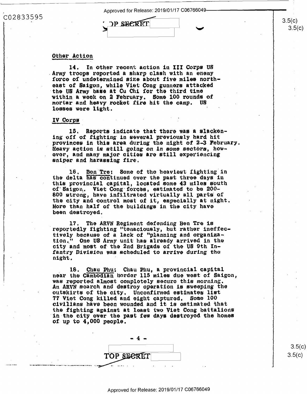Approved for Release: 2019/01/17 C06766049

#### Other Action

C02833595

In other recent action in III Corps US 14. Army troops reported a sharp clash with an enemy force of undetermined size about five miles northeast of Saigon, while Viet Cong gunners attacked the US Army base at Cu Chi for the third time within a week on 2 February. Some 100 rounds of mortar and heavy rocket fire hit the camp. US losses were light.

**TP SHERET** 

## IV Corps

15. Reports indicate that there was a slackening off of fighting in several previously hard hit provinces in this area during the night of 2-3 February. Heavy action is still going on in some sectors, howover, and many major cities are still experiencing sniper and harassing fire.

16. Bon Tre: Some of the heaviest fighting in the delta has continued over the past three days in this provincial capital, located some 43 miles south of Saigon. Viet Cong forces, estimated to be 200-800 strong, have infiltrated virtually all parts of the city and control most of it, especially at night. More than half of the buildings in the city have been destroyed.

The ARVN Regiment defending Ben Tre is 17. reportedly fighting "tenaciously, but rather ineffectively because of a lack of "planning and organization." One US Army unit has already arrived in the city and most of the 2nd Brigade of the US 9th Infantry Division was scheduled to arrive during the night.

Chau Phu: Chau Phu, a provincial capital 18. near the Cambodian border 115 miles due west of Saigon, was reported almost completely secure this morning. An ARVN soarch and destroy operation is sweeping the outskirts of the city. Unconfirmed estimates list 77 Viet Cong killed and eight captured. Some 100 civilians have been wounded and it is ostimated that the fighting against at least two Viet Cong battalions in the city over the past few days destroyed the homes of up to 4,000 people.

> - 4 -TOP SECRET

3.5(c)  $3.5(c)$ 

 $3.5(c)$ 

 $3.5(c)$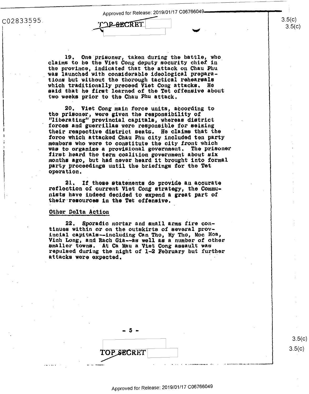Approved for Release: 2019/01/17 C06766049-

:02833595.

19. One prisoner, taken during the battle, who claims to be the Viet Cong deputy security chief in the province, indicated that the attack on Chau Phu was launched with considerable ideological preparations but without the thorough tactical rehearsals which traditionally preceed Viet Cong attacks. He said that he first learned of the Tet offensive about two weeks prior to the Chau Phu attack.

**DE-RECRET** 

20. Viet Cong main force units, according to the prisoner, were given the responsibility of<br>"liberating" provincial capitals, whereas district forces and guerrillas were responsible for seizing their respective district seats. He claims that the force which attacked Chau Phu city included ten party members who were to constitute the city front which was to organize a provisional government. The prisoner first heard the term coalition government about six months ago, but had never heard it brought into formal party proceedings until the briefings for the Tet operation.

If these statements do provide an acourate 21. reflection of current Viet Cong strategy, the Communists have indeed decided to expend a great part of their resources in the Tet offensive.

#### Othor Delta Action

Sporadic mortar and small arms fire con-22. tinues within or on the outskirts of several provincial capitals--including Can Tho, My Tho, Moc Hoa, Vinh Long, and Rach Gia--as well as a number of other smaller towns. At Ca Mau a Viet Cong assault was repulsed during the night of 1-2 February but further attacks were expected.

TOP SECRET

Approved for Release: 2019/01/17 C06766049

 $3.5(c$  $3.5(c)$ 

 $3.5(c)$  $3.5(c)$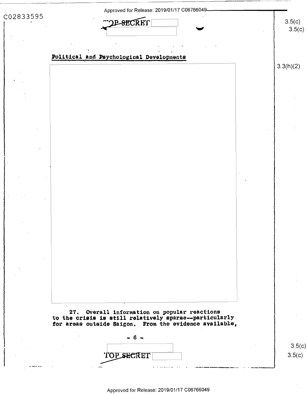|                      | Approved for Release: 2019/01/17 C06766049-                                                                                                                      |  |                  |  |  |
|----------------------|------------------------------------------------------------------------------------------------------------------------------------------------------------------|--|------------------|--|--|
| C02833595<br>POECRET |                                                                                                                                                                  |  |                  |  |  |
|                      |                                                                                                                                                                  |  | 3.5(c)           |  |  |
|                      | Political and Psychological Developments                                                                                                                         |  |                  |  |  |
|                      |                                                                                                                                                                  |  | 3.3(h)(2)        |  |  |
|                      |                                                                                                                                                                  |  |                  |  |  |
|                      |                                                                                                                                                                  |  |                  |  |  |
|                      |                                                                                                                                                                  |  |                  |  |  |
|                      |                                                                                                                                                                  |  |                  |  |  |
|                      |                                                                                                                                                                  |  |                  |  |  |
|                      |                                                                                                                                                                  |  |                  |  |  |
|                      |                                                                                                                                                                  |  |                  |  |  |
|                      |                                                                                                                                                                  |  |                  |  |  |
|                      |                                                                                                                                                                  |  |                  |  |  |
|                      |                                                                                                                                                                  |  |                  |  |  |
|                      |                                                                                                                                                                  |  |                  |  |  |
|                      |                                                                                                                                                                  |  |                  |  |  |
|                      |                                                                                                                                                                  |  |                  |  |  |
|                      |                                                                                                                                                                  |  |                  |  |  |
|                      |                                                                                                                                                                  |  |                  |  |  |
|                      | 27. Overall information on popular reactions<br>to the crisis is still relatively sparse--particularly<br>for areas outside Saigon. From the evidence available, |  |                  |  |  |
|                      |                                                                                                                                                                  |  |                  |  |  |
|                      | TOP SECRET                                                                                                                                                       |  | 3.5(c)<br>3.5(c) |  |  |
|                      |                                                                                                                                                                  |  |                  |  |  |

| Approved for Release: 2019/01/17 C06766049 |  |  |  |  |  |  |
|--------------------------------------------|--|--|--|--|--|--|
|--------------------------------------------|--|--|--|--|--|--|